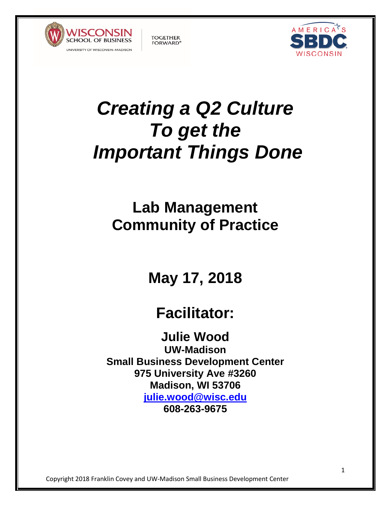



# *Creating a Q2 Culture To get the Important Things Done*

**TOGETHER** 

**FORWARD®** 

# **Lab Management Community of Practice**

**May 17, 2018**

# **Facilitator:**

**Julie Wood**

**UW-Madison Small Business Development Center 975 University Ave #3260 Madison, WI 53706 julie.wood@wisc.edu 608-263-9675**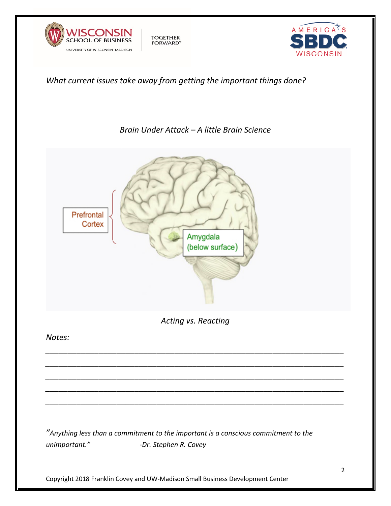



#### *What current issues take away from getting the important things done?*

**TOGETHER** 

FORWARD<sup>®</sup>

#### *Brain Under Attack – A little Brain Science*

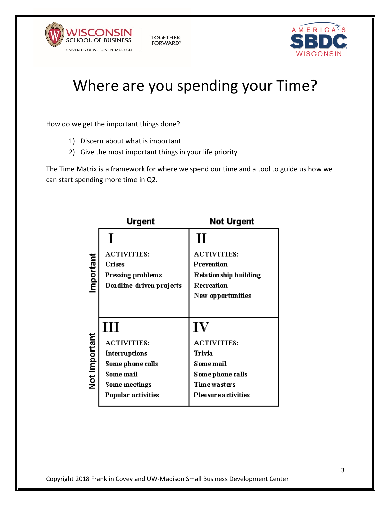



# Where are you spending your Time?

How do we get the important things done?

- 1) Discern about what is important
- 2) Give the most important things in your life priority

**TOGETHER** 

**FORWARD®** 

The Time Matrix is a framework for where we spend our time and a tool to guide us how we can start spending more time in Q2.

|               | <b>Urgent</b>            | <b>Not Urgent</b>      |
|---------------|--------------------------|------------------------|
|               |                          | $\mathbf H$            |
| Important     | <b>ACTIVITIES:</b>       | <b>ACTIVITIES:</b>     |
|               | Crises                   | Prevention             |
|               | Pressing problems        | Relation ship building |
|               | Deadline-driven projects | Recreation             |
|               |                          | New opportunities      |
|               |                          |                        |
|               | Ш                        | $\bf{IV}$              |
| Not Important | <b>ACTIVITIES:</b>       | <b>ACTIVITIES:</b>     |
|               | Interruptions            | Trivia                 |
|               | Some phone calls         | <b>Some mail</b>       |
|               | Some mail                | Some phone calls       |
|               | Some meetings            | Time wasters           |
|               | Popular activities       | Pleasure activities    |
|               |                          |                        |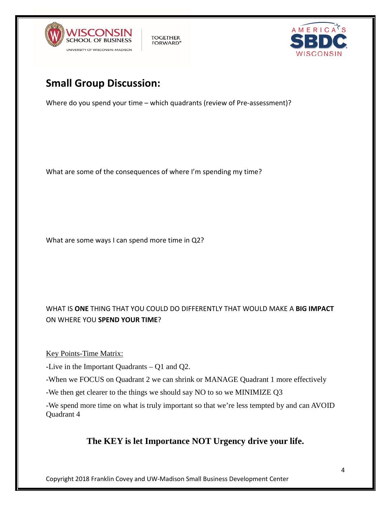



# **Small Group Discussion:**

Where do you spend your time – which quadrants (review of Pre-assessment)?

**TOGETHER** 

**FORWARD®** 

What are some of the consequences of where I'm spending my time?

What are some ways I can spend more time in Q2?

#### WHAT IS **ONE** THING THAT YOU COULD DO DIFFERENTLY THAT WOULD MAKE A **BIG IMPACT** ON WHERE YOU **SPEND YOUR TIME**?

Key Points-Time Matrix:

-Live in the Important Quadrants – Q1 and Q2.

-When we FOCUS on Quadrant 2 we can shrink or MANAGE Quadrant 1 more effectively

-We then get clearer to the things we should say NO to so we MINIMIZE Q3

-We spend more time on what is truly important so that we're less tempted by and can AVOID Quadrant 4

#### **The KEY is let Importance NOT Urgency drive your life.**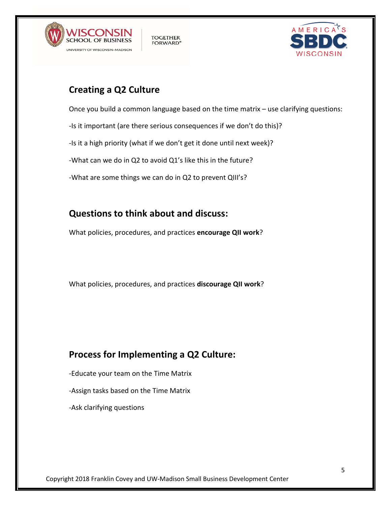



# **Creating a Q2 Culture**

Once you build a common language based on the time matrix – use clarifying questions:

-Is it important (are there serious consequences if we don't do this)?

-Is it a high priority (what if we don't get it done until next week)?

**TOGETHER** 

**FORWARD®** 

-What can we do in Q2 to avoid Q1's like this in the future?

-What are some things we can do in Q2 to prevent QIII's?

# **Questions to think about and discuss:**

What policies, procedures, and practices **encourage QII work**?

What policies, procedures, and practices **discourage QII work**?

# **Process for Implementing a Q2 Culture:**

- -Educate your team on the Time Matrix
- -Assign tasks based on the Time Matrix
- -Ask clarifying questions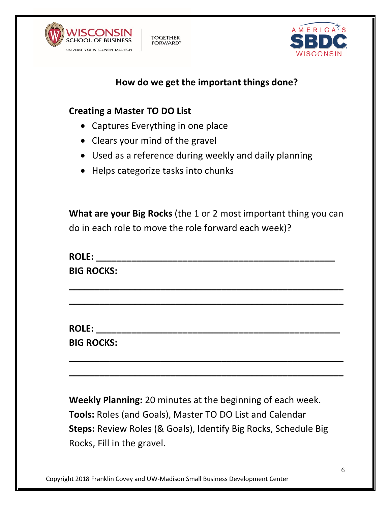



# **How do we get the important things done?**

### **Creating a Master TO DO List**

• Captures Everything in one place

**TOGETHER** 

**FORWARD®** 

- Clears your mind of the gravel
- Used as a reference during weekly and daily planning
- Helps categorize tasks into chunks

**What are your Big Rocks** (the 1 or 2 most important thing you can do in each role to move the role forward each week)?

**ROLE:**  $\blacksquare$ **BIG ROCKS:**

**\_\_\_\_\_\_\_\_\_\_\_\_\_\_\_\_\_\_\_\_\_\_\_\_\_\_\_\_\_\_\_\_\_\_\_\_\_\_\_\_\_\_\_\_\_\_\_\_\_\_\_\_\_\_**

**\_\_\_\_\_\_\_\_\_\_\_\_\_\_\_\_\_\_\_\_\_\_\_\_\_\_\_\_\_\_\_\_\_\_\_\_\_\_\_\_\_\_\_\_\_\_\_\_\_\_\_\_\_\_**

**\_\_\_\_\_\_\_\_\_\_\_\_\_\_\_\_\_\_\_\_\_\_\_\_\_\_\_\_\_\_\_\_\_\_\_\_\_\_\_\_\_\_\_\_\_\_\_\_\_\_\_\_\_\_**

**\_\_\_\_\_\_\_\_\_\_\_\_\_\_\_\_\_\_\_\_\_\_\_\_\_\_\_\_\_\_\_\_\_\_\_\_\_\_\_\_\_\_\_\_\_\_\_\_\_\_\_\_\_\_**

**ROLE: \_\_\_\_\_\_\_\_\_\_\_\_\_\_\_\_\_\_\_\_\_\_\_\_\_\_\_\_\_\_\_\_\_\_\_\_\_\_\_\_\_\_\_\_\_\_\_\_**

**BIG ROCKS:**

**Weekly Planning:** 20 minutes at the beginning of each week. **Tools:** Roles (and Goals), Master TO DO List and Calendar **Steps:** Review Roles (& Goals), Identify Big Rocks, Schedule Big Rocks, Fill in the gravel.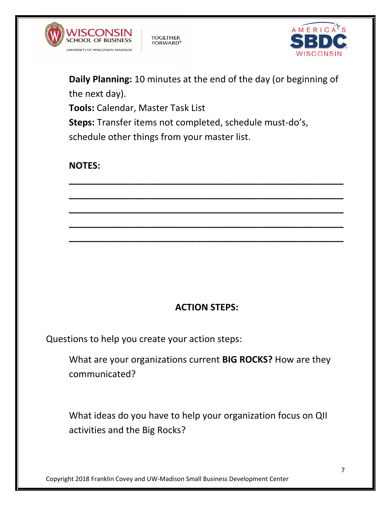



**Daily Planning:** 10 minutes at the end of the day (or beginning of the next day). **Tools:** Calendar, Master Task List **Steps:** Transfer items not completed, schedule must-do's, schedule other things from your master list.

**TOGETHER** 

**FORWARD®** 

**\_\_\_\_\_\_\_\_\_\_\_\_\_\_\_\_\_\_\_\_\_\_\_\_\_\_\_\_\_\_\_\_\_\_\_\_\_\_\_\_\_\_\_\_\_\_\_\_\_\_\_\_\_\_**

**\_\_\_\_\_\_\_\_\_\_\_\_\_\_\_\_\_\_\_\_\_\_\_\_\_\_\_\_\_\_\_\_\_\_\_\_\_\_\_\_\_\_\_\_\_\_\_\_\_\_\_\_\_\_**

**\_\_\_\_\_\_\_\_\_\_\_\_\_\_\_\_\_\_\_\_\_\_\_\_\_\_\_\_\_\_\_\_\_\_\_\_\_\_\_\_\_\_\_\_\_\_\_\_\_\_\_\_\_\_**

**\_\_\_\_\_\_\_\_\_\_\_\_\_\_\_\_\_\_\_\_\_\_\_\_\_\_\_\_\_\_\_\_\_\_\_\_\_\_\_\_\_\_\_\_\_\_\_\_\_\_\_\_\_\_**

**\_\_\_\_\_\_\_\_\_\_\_\_\_\_\_\_\_\_\_\_\_\_\_\_\_\_\_\_\_\_\_\_\_\_\_\_\_\_\_\_\_\_\_\_\_\_\_\_\_\_\_\_\_\_**

# **NOTES:**

# **ACTION STEPS:**

Questions to help you create your action steps:

What are your organizations current **BIG ROCKS?** How are they communicated?

What ideas do you have to help your organization focus on QII activities and the Big Rocks?